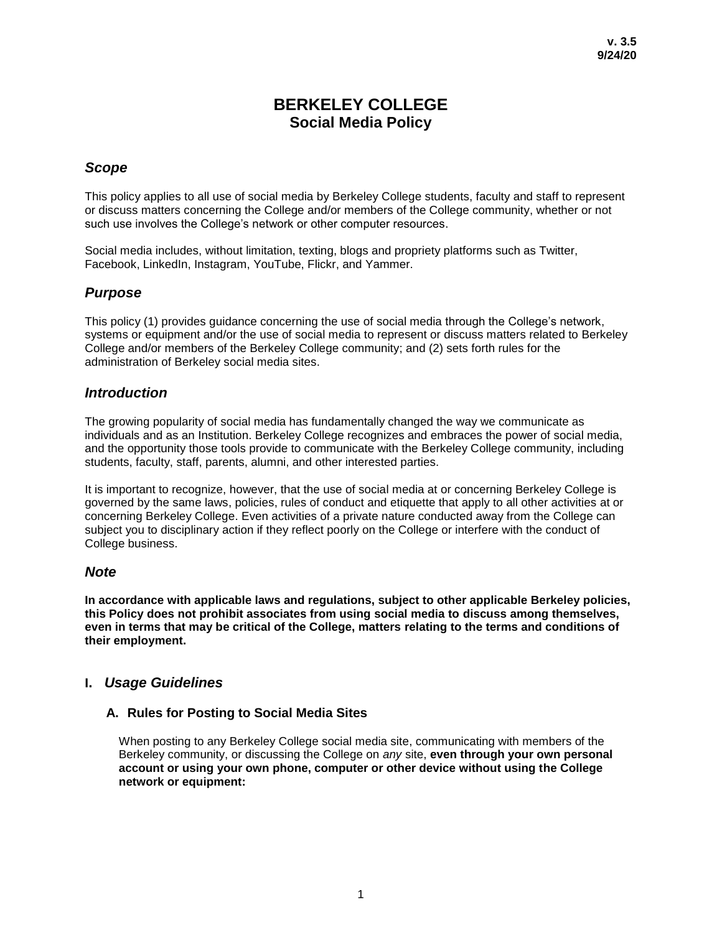# **BERKELEY COLLEGE Social Media Policy**

# *Scope*

This policy applies to all use of social media by Berkeley College students, faculty and staff to represent or discuss matters concerning the College and/or members of the College community, whether or not such use involves the College's network or other computer resources.

Social media includes, without limitation, texting, blogs and propriety platforms such as Twitter, Facebook, LinkedIn, Instagram, YouTube, Flickr, and Yammer.

# *Purpose*

This policy (1) provides guidance concerning the use of social media through the College's network, systems or equipment and/or the use of social media to represent or discuss matters related to Berkeley College and/or members of the Berkeley College community; and (2) sets forth rules for the administration of Berkeley social media sites.

## *Introduction*

The growing popularity of social media has fundamentally changed the way we communicate as individuals and as an Institution. Berkeley College recognizes and embraces the power of social media, and the opportunity those tools provide to communicate with the Berkeley College community, including students, faculty, staff, parents, alumni, and other interested parties.

It is important to recognize, however, that the use of social media at or concerning Berkeley College is governed by the same laws, policies, rules of conduct and etiquette that apply to all other activities at or concerning Berkeley College. Even activities of a private nature conducted away from the College can subject you to disciplinary action if they reflect poorly on the College or interfere with the conduct of College business.

# *Note*

**In accordance with applicable laws and regulations, subject to other applicable Berkeley policies, this Policy does not prohibit associates from using social media to discuss among themselves, even in terms that may be critical of the College, matters relating to the terms and conditions of their employment.** 

# **I.** *Usage Guidelines*

## **A. Rules for Posting to Social Media Sites**

When posting to any Berkeley College social media site, communicating with members of the Berkeley community, or discussing the College on *any* site, **even through your own personal account or using your own phone, computer or other device without using the College network or equipment:**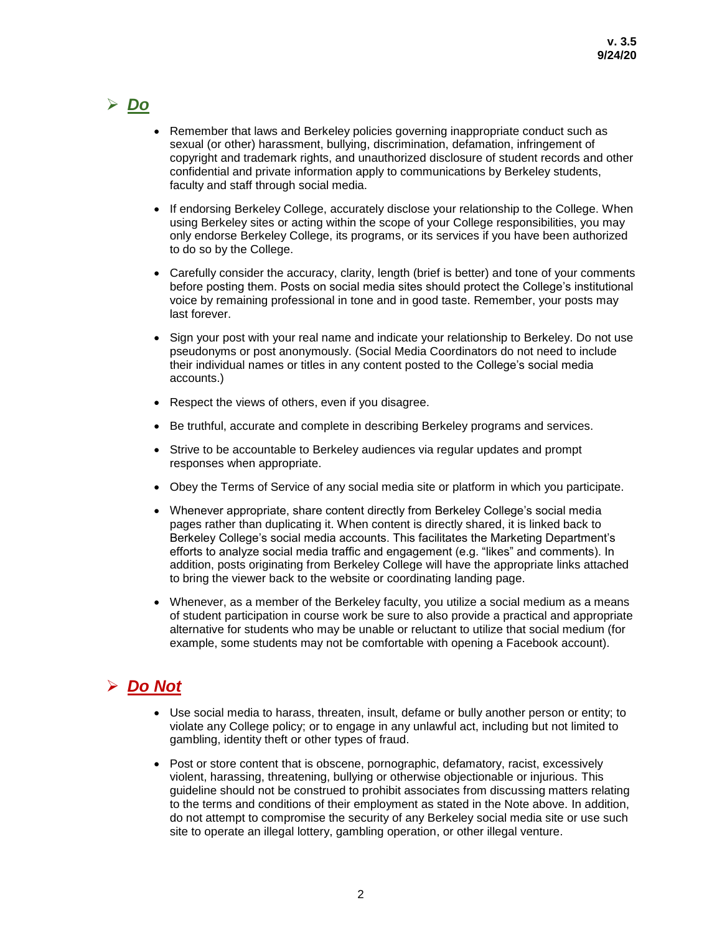# *Do*

- Remember that laws and Berkeley policies governing inappropriate conduct such as sexual (or other) harassment, bullying, discrimination, defamation, infringement of copyright and trademark rights, and unauthorized disclosure of student records and other confidential and private information apply to communications by Berkeley students, faculty and staff through social media.
- If endorsing Berkeley College, accurately disclose your relationship to the College. When using Berkeley sites or acting within the scope of your College responsibilities, you may only endorse Berkeley College, its programs, or its services if you have been authorized to do so by the College.
- Carefully consider the accuracy, clarity, length (brief is better) and tone of your comments before posting them. Posts on social media sites should protect the College's institutional voice by remaining professional in tone and in good taste. Remember, your posts may last forever.
- Sign your post with your real name and indicate your relationship to Berkeley. Do not use pseudonyms or post anonymously. (Social Media Coordinators do not need to include their individual names or titles in any content posted to the College's social media accounts.)
- Respect the views of others, even if you disagree.
- **Be truthful, accurate and complete in describing Berkeley programs and services.**
- Strive to be accountable to Berkeley audiences via regular updates and prompt responses when appropriate.
- Obey the Terms of Service of any social media site or platform in which you participate.
- Whenever appropriate, share content directly from Berkeley College's social media pages rather than duplicating it. When content is directly shared, it is linked back to Berkeley College's social media accounts. This facilitates the Marketing Department's efforts to analyze social media traffic and engagement (e.g. "likes" and comments). In addition, posts originating from Berkeley College will have the appropriate links attached to bring the viewer back to the website or coordinating landing page.
- Whenever, as a member of the Berkeley faculty, you utilize a social medium as a means of student participation in course work be sure to also provide a practical and appropriate alternative for students who may be unable or reluctant to utilize that social medium (for example, some students may not be comfortable with opening a Facebook account).

# *Do Not*

- Use social media to harass, threaten, insult, defame or bully another person or entity; to violate any College policy; or to engage in any unlawful act, including but not limited to gambling, identity theft or other types of fraud.
- Post or store content that is obscene, pornographic, defamatory, racist, excessively violent, harassing, threatening, bullying or otherwise objectionable or injurious. This guideline should not be construed to prohibit associates from discussing matters relating to the terms and conditions of their employment as stated in the Note above. In addition, do not attempt to compromise the security of any Berkeley social media site or use such site to operate an illegal lottery, gambling operation, or other illegal venture.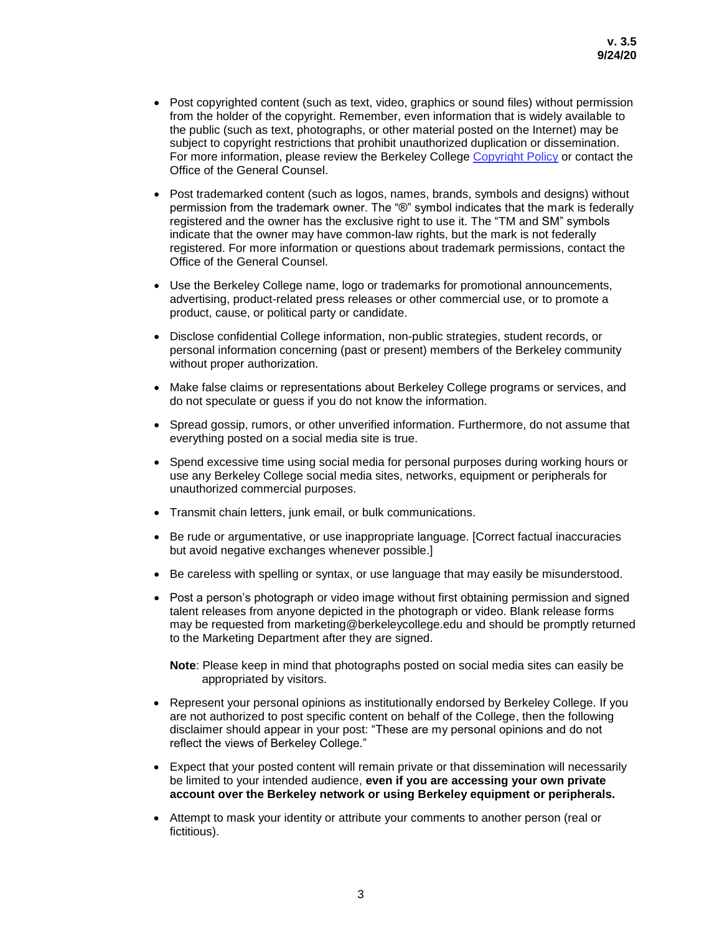- Post copyrighted content (such as text, video, graphics or sound files) without permission from the holder of the copyright. Remember, even information that is widely available to the public (such as text, photographs, or other material posted on the Internet) may be subject to copyright restrictions that prohibit unauthorized duplication or dissemination. For more information, please review the Berkeley College [Copyright Policy](https://berkeleycollege.edu/pdf/copyright-policy.pdf) or contact the Office of the General Counsel.
- Post trademarked content (such as logos, names, brands, symbols and designs) without permission from the trademark owner. The "®" symbol indicates that the mark is federally registered and the owner has the exclusive right to use it. The "TM and SM" symbols indicate that the owner may have common-law rights, but the mark is not federally registered. For more information or questions about trademark permissions, contact the Office of the General Counsel.
- Use the Berkeley College name, logo or trademarks for promotional announcements, advertising, product-related press releases or other commercial use, or to promote a product, cause, or political party or candidate.
- Disclose confidential College information, non-public strategies, student records, or personal information concerning (past or present) members of the Berkeley community without proper authorization.
- Make false claims or representations about Berkeley College programs or services, and do not speculate or guess if you do not know the information.
- Spread gossip, rumors, or other unverified information. Furthermore, do not assume that everything posted on a social media site is true.
- Spend excessive time using social media for personal purposes during working hours or use any Berkeley College social media sites, networks, equipment or peripherals for unauthorized commercial purposes.
- Transmit chain letters, junk email, or bulk communications.
- Be rude or argumentative, or use inappropriate language. [Correct factual inaccuracies but avoid negative exchanges whenever possible.]
- **Be careless with spelling or syntax, or use language that may easily be misunderstood.**
- Post a person's photograph or video image without first obtaining permission and signed talent releases from anyone depicted in the photograph or video. Blank release forms may be requested from marketing@berkeleycollege.edu and should be promptly returned to the Marketing Department after they are signed.

**Note**: Please keep in mind that photographs posted on social media sites can easily be appropriated by visitors.

- Represent your personal opinions as institutionally endorsed by Berkeley College. If you are not authorized to post specific content on behalf of the College, then the following disclaimer should appear in your post: "These are my personal opinions and do not reflect the views of Berkeley College."
- Expect that your posted content will remain private or that dissemination will necessarily be limited to your intended audience, **even if you are accessing your own private account over the Berkeley network or using Berkeley equipment or peripherals.**
- Attempt to mask your identity or attribute your comments to another person (real or fictitious).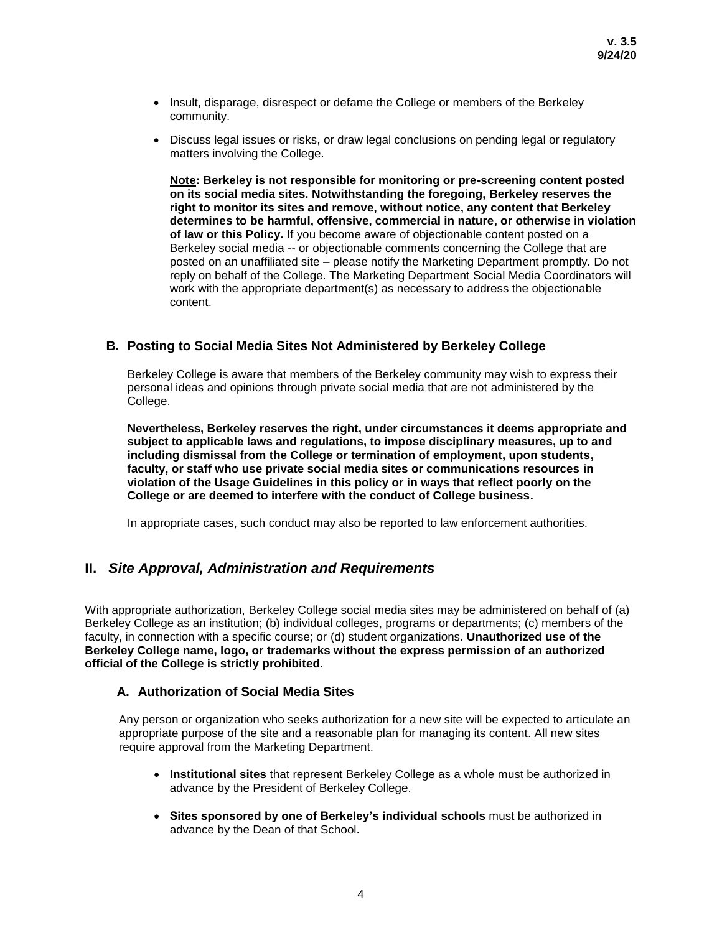- Insult, disparage, disrespect or defame the College or members of the Berkeley community.
- Discuss legal issues or risks, or draw legal conclusions on pending legal or regulatory matters involving the College.

**Note: Berkeley is not responsible for monitoring or pre-screening content posted on its social media sites. Notwithstanding the foregoing, Berkeley reserves the right to monitor its sites and remove, without notice, any content that Berkeley determines to be harmful, offensive, commercial in nature, or otherwise in violation of law or this Policy.** If you become aware of objectionable content posted on a Berkeley social media -- or objectionable comments concerning the College that are posted on an unaffiliated site – please notify the Marketing Department promptly. Do not reply on behalf of the College. The Marketing Department Social Media Coordinators will work with the appropriate department(s) as necessary to address the objectionable content.

### **B. Posting to Social Media Sites Not Administered by Berkeley College**

Berkeley College is aware that members of the Berkeley community may wish to express their personal ideas and opinions through private social media that are not administered by the College.

**Nevertheless, Berkeley reserves the right, under circumstances it deems appropriate and subject to applicable laws and regulations, to impose disciplinary measures, up to and including dismissal from the College or termination of employment, upon students, faculty, or staff who use private social media sites or communications resources in violation of the Usage Guidelines in this policy or in ways that reflect poorly on the College or are deemed to interfere with the conduct of College business.**

In appropriate cases, such conduct may also be reported to law enforcement authorities.

### **II.** *Site Approval, Administration and Requirements*

With appropriate authorization, Berkeley College social media sites may be administered on behalf of (a) Berkeley College as an institution; (b) individual colleges, programs or departments; (c) members of the faculty, in connection with a specific course; or (d) student organizations. **Unauthorized use of the Berkeley College name, logo, or trademarks without the express permission of an authorized official of the College is strictly prohibited.**

#### **A. Authorization of Social Media Sites**

Any person or organization who seeks authorization for a new site will be expected to articulate an appropriate purpose of the site and a reasonable plan for managing its content. All new sites require approval from the Marketing Department.

- **Institutional sites** that represent Berkeley College as a whole must be authorized in advance by the President of Berkeley College.
- **Sites sponsored by one of Berkeley's individual schools** must be authorized in advance by the Dean of that School.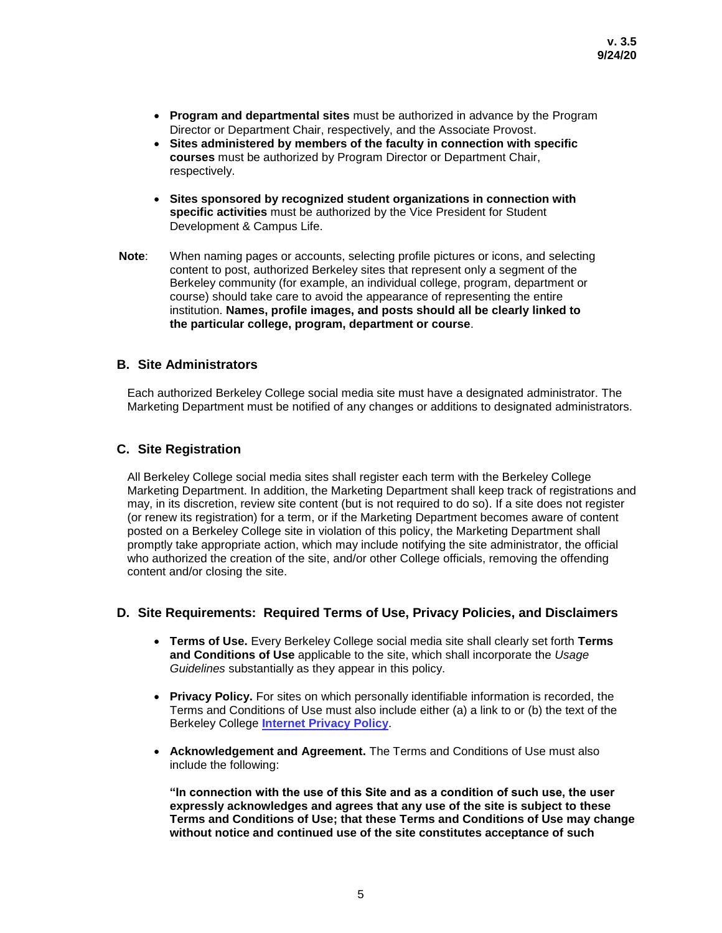- **Program and departmental sites** must be authorized in advance by the Program Director or Department Chair, respectively, and the Associate Provost.
- **Sites administered by members of the faculty in connection with specific courses** must be authorized by Program Director or Department Chair, respectively.
- **Sites sponsored by recognized student organizations in connection with specific activities** must be authorized by the Vice President for Student Development & Campus Life.
- **Note**: When naming pages or accounts, selecting profile pictures or icons, and selecting content to post, authorized Berkeley sites that represent only a segment of the Berkeley community (for example, an individual college, program, department or course) should take care to avoid the appearance of representing the entire institution. **Names, profile images, and posts should all be clearly linked to the particular college, program, department or course**.

### **B. Site Administrators**

Each authorized Berkeley College social media site must have a designated administrator. The Marketing Department must be notified of any changes or additions to designated administrators.

### **C. Site Registration**

All Berkeley College social media sites shall register each term with the Berkeley College Marketing Department. In addition, the Marketing Department shall keep track of registrations and may, in its discretion, review site content (but is not required to do so). If a site does not register (or renew its registration) for a term, or if the Marketing Department becomes aware of content posted on a Berkeley College site in violation of this policy, the Marketing Department shall promptly take appropriate action, which may include notifying the site administrator, the official who authorized the creation of the site, and/or other College officials, removing the offending content and/or closing the site.

### **D. Site Requirements: Required Terms of Use, Privacy Policies, and Disclaimers**

- **Terms of Use.** Every Berkeley College social media site shall clearly set forth **Terms and Conditions of Use** applicable to the site, which shall incorporate the *Usage Guidelines* substantially as they appear in this policy.
- **Privacy Policy.** For sites on which personally identifiable information is recorded, the Terms and Conditions of Use must also include either (a) a link to or (b) the text of the Berkeley College **[Internet Privacy Policy](http://berkeleycollege.edu/files_bc/Berkeley_College_Internet_Privacy_Policy.pdf)**.
- **Acknowledgement and Agreement.** The Terms and Conditions of Use must also include the following:

**"In connection with the use of this Site and as a condition of such use, the user expressly acknowledges and agrees that any use of the site is subject to these Terms and Conditions of Use; that these Terms and Conditions of Use may change without notice and continued use of the site constitutes acceptance of such**